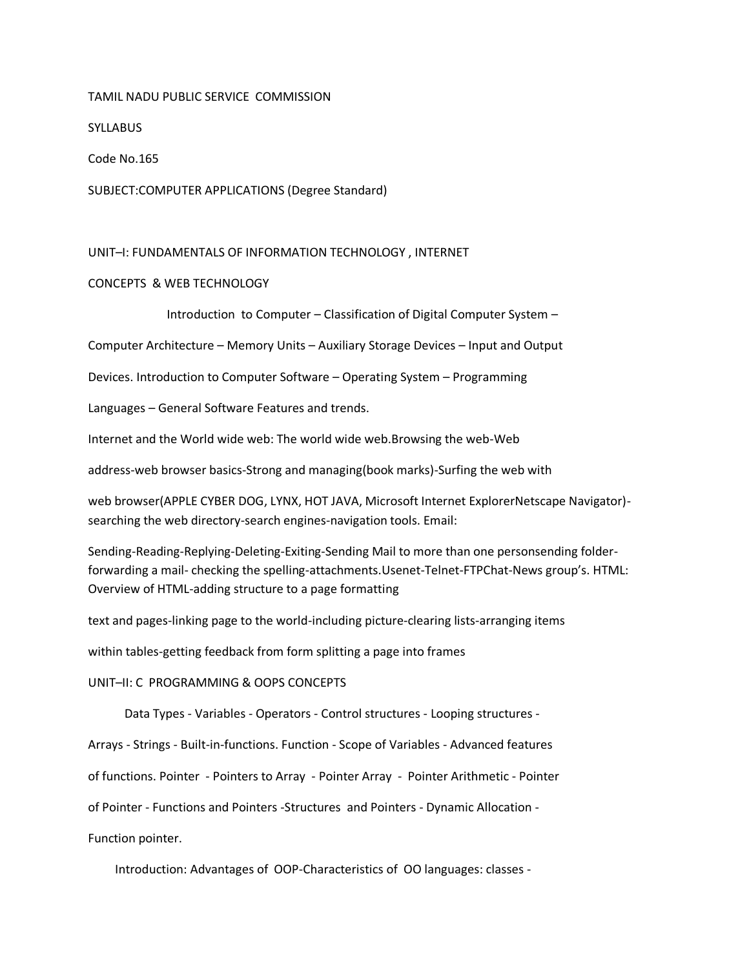## TAMIL NADU PUBLIC SERVICE COMMISSION

# **SYLLABUS**

Code No.165

SUBJECT:COMPUTER APPLICATIONS (Degree Standard)

# UNIT–I: FUNDAMENTALS OF INFORMATION TECHNOLOGY , INTERNET

# CONCEPTS & WEB TECHNOLOGY

Introduction to Computer – Classification of Digital Computer System –

Computer Architecture – Memory Units – Auxiliary Storage Devices – Input and Output

Devices. Introduction to Computer Software – Operating System – Programming

Languages – General Software Features and trends.

Internet and the World wide web: The world wide web.Browsing the web-Web

address-web browser basics-Strong and managing(book marks)-Surfing the web with

web browser(APPLE CYBER DOG, LYNX, HOT JAVA, Microsoft Internet ExplorerNetscape Navigator) searching the web directory-search engines-navigation tools. Email:

Sending-Reading-Replying-Deleting-Exiting-Sending Mail to more than one personsending folderforwarding a mail- checking the spelling-attachments.Usenet-Telnet-FTPChat-News group's. HTML: Overview of HTML-adding structure to a page formatting

text and pages-linking page to the world-including picture-clearing lists-arranging items

within tables-getting feedback from form splitting a page into frames

UNIT–II: C PROGRAMMING & OOPS CONCEPTS

Data Types - Variables - Operators - Control structures - Looping structures -

Arrays - Strings - Built-in-functions. Function - Scope of Variables - Advanced features

of functions. Pointer - Pointers to Array - Pointer Array - Pointer Arithmetic - Pointer

of Pointer - Functions and Pointers -Structures and Pointers - Dynamic Allocation -

Function pointer.

Introduction: Advantages of OOP-Characteristics of OO languages: classes -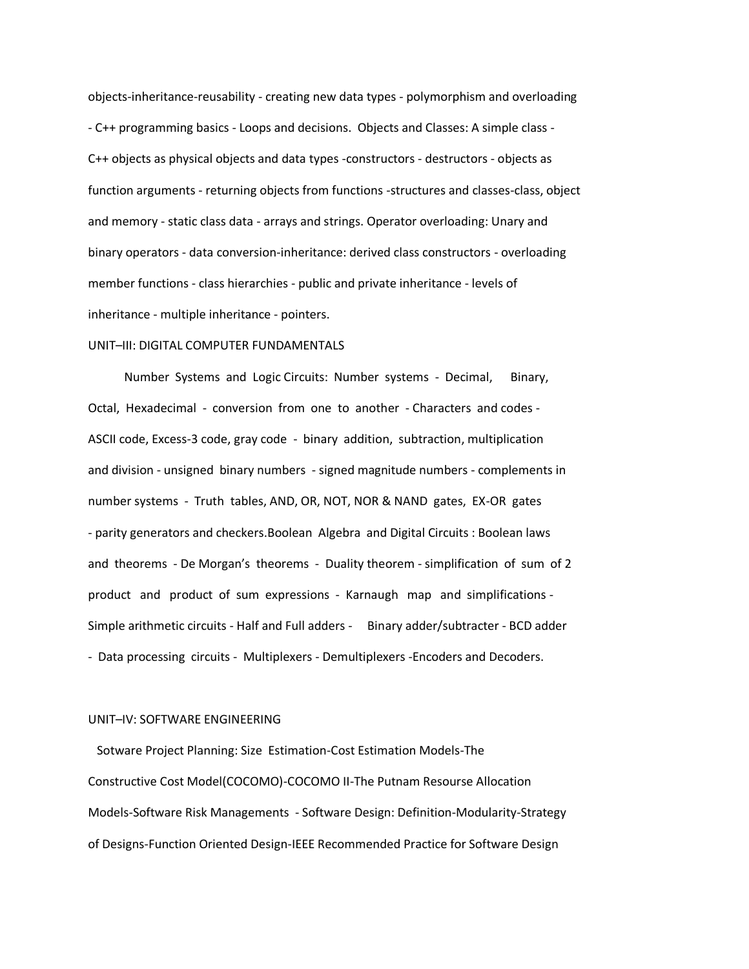objects-inheritance-reusability - creating new data types - polymorphism and overloading - C++ programming basics - Loops and decisions. Objects and Classes: A simple class - C++ objects as physical objects and data types -constructors - destructors - objects as function arguments - returning objects from functions -structures and classes-class, object and memory - static class data - arrays and strings. Operator overloading: Unary and binary operators - data conversion-inheritance: derived class constructors - overloading member functions - class hierarchies - public and private inheritance - levels of inheritance - multiple inheritance - pointers.

### UNIT–III: DIGITAL COMPUTER FUNDAMENTALS

 Number Systems and Logic Circuits: Number systems - Decimal, Binary, Octal, Hexadecimal - conversion from one to another - Characters and codes - ASCII code, Excess-3 code, gray code - binary addition, subtraction, multiplication and division - unsigned binary numbers - signed magnitude numbers - complements in number systems - Truth tables, AND, OR, NOT, NOR & NAND gates, EX-OR gates - parity generators and checkers.Boolean Algebra and Digital Circuits : Boolean laws and theorems - De Morgan's theorems - Duality theorem - simplification of sum of 2 product and product of sum expressions - Karnaugh map and simplifications - Simple arithmetic circuits - Half and Full adders - Binary adder/subtracter - BCD adder - Data processing circuits - Multiplexers - Demultiplexers -Encoders and Decoders.

## UNIT–IV: SOFTWARE ENGINEERING

 Sotware Project Planning: Size Estimation-Cost Estimation Models-The Constructive Cost Model(COCOMO)-COCOMO II-The Putnam Resourse Allocation Models-Software Risk Managements - Software Design: Definition-Modularity-Strategy of Designs-Function Oriented Design-IEEE Recommended Practice for Software Design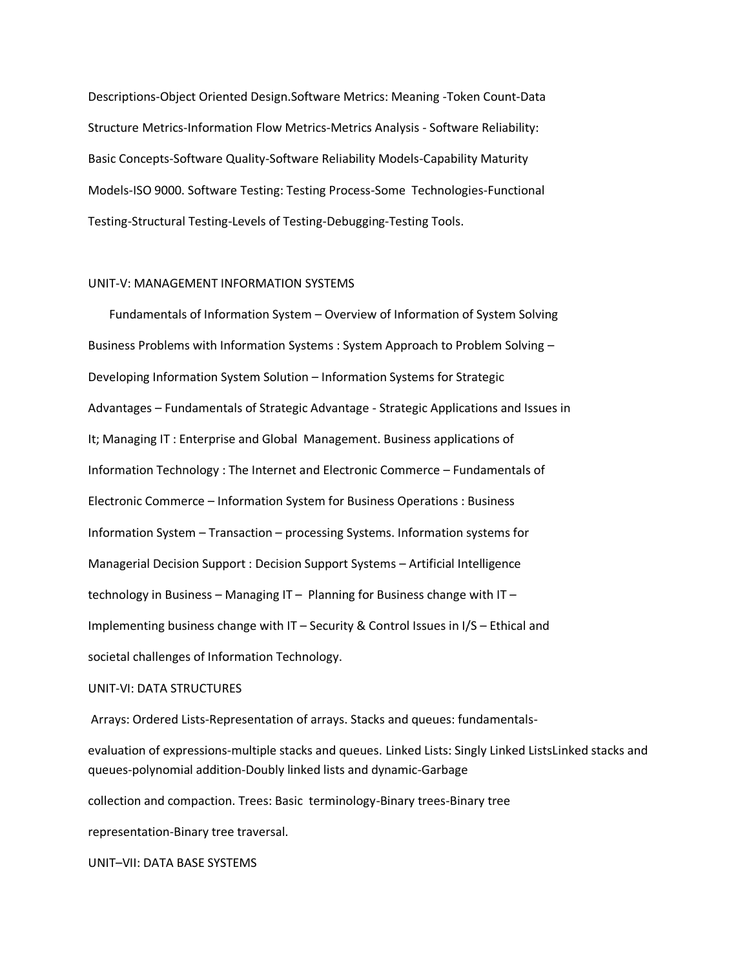Descriptions-Object Oriented Design.Software Metrics: Meaning -Token Count-Data Structure Metrics-Information Flow Metrics-Metrics Analysis - Software Reliability: Basic Concepts-Software Quality-Software Reliability Models-Capability Maturity Models-ISO 9000. Software Testing: Testing Process-Some Technologies-Functional Testing-Structural Testing-Levels of Testing-Debugging-Testing Tools.

## UNIT-V: MANAGEMENT INFORMATION SYSTEMS

 Fundamentals of Information System – Overview of Information of System Solving Business Problems with Information Systems : System Approach to Problem Solving – Developing Information System Solution – Information Systems for Strategic Advantages – Fundamentals of Strategic Advantage - Strategic Applications and Issues in It; Managing IT : Enterprise and Global Management. Business applications of Information Technology : The Internet and Electronic Commerce – Fundamentals of Electronic Commerce – Information System for Business Operations : Business Information System – Transaction – processing Systems. Information systems for Managerial Decision Support : Decision Support Systems – Artificial Intelligence technology in Business – Managing IT – Planning for Business change with IT – Implementing business change with IT – Security & Control Issues in I/S – Ethical and societal challenges of Information Technology.

#### UNIT-VI: DATA STRUCTURES

Arrays: Ordered Lists-Representation of arrays. Stacks and queues: fundamentals-

evaluation of expressions-multiple stacks and queues. Linked Lists: Singly Linked ListsLinked stacks and queues-polynomial addition-Doubly linked lists and dynamic-Garbage

collection and compaction. Trees: Basic terminology-Binary trees-Binary tree

representation-Binary tree traversal.

UNIT–VII: DATA BASE SYSTEMS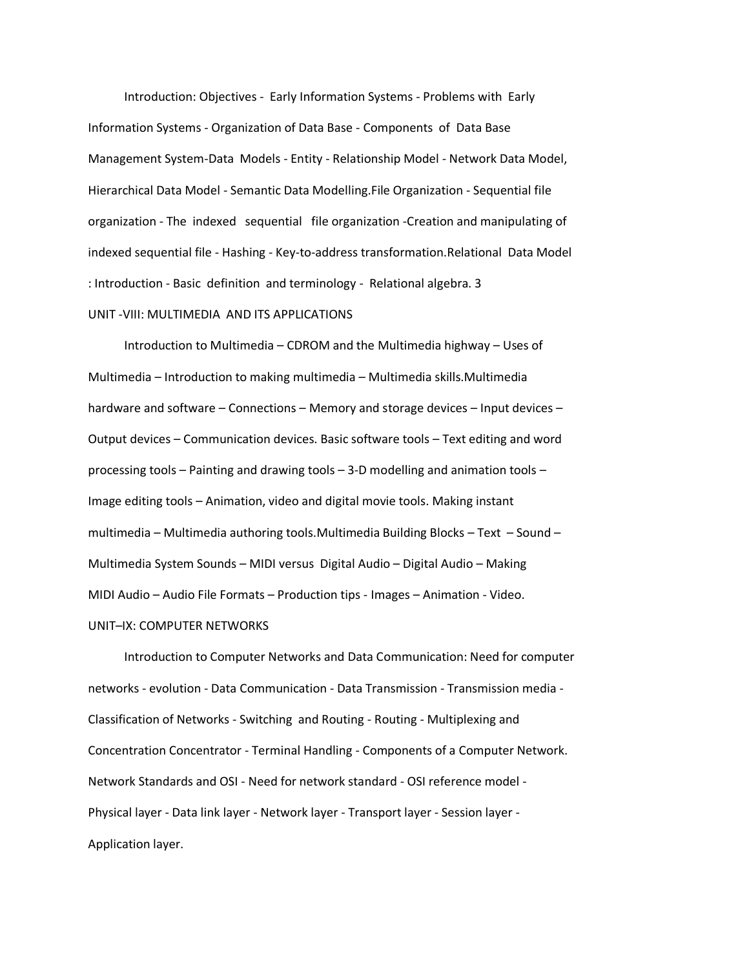Introduction: Objectives - Early Information Systems - Problems with Early Information Systems - Organization of Data Base - Components of Data Base Management System-Data Models - Entity - Relationship Model - Network Data Model, Hierarchical Data Model - Semantic Data Modelling.File Organization - Sequential file organization - The indexed sequential file organization -Creation and manipulating of indexed sequential file - Hashing - Key-to-address transformation.Relational Data Model : Introduction - Basic definition and terminology - Relational algebra. 3 UNIT -VIII: MULTIMEDIA AND ITS APPLICATIONS

 Introduction to Multimedia – CDROM and the Multimedia highway – Uses of Multimedia – Introduction to making multimedia – Multimedia skills.Multimedia hardware and software – Connections – Memory and storage devices – Input devices – Output devices – Communication devices. Basic software tools – Text editing and word processing tools – Painting and drawing tools – 3-D modelling and animation tools – Image editing tools – Animation, video and digital movie tools. Making instant multimedia – Multimedia authoring tools.Multimedia Building Blocks – Text – Sound – Multimedia System Sounds – MIDI versus Digital Audio – Digital Audio – Making MIDI Audio – Audio File Formats – Production tips - Images – Animation - Video. UNIT–IX: COMPUTER NETWORKS

 Introduction to Computer Networks and Data Communication: Need for computer networks - evolution - Data Communication - Data Transmission - Transmission media - Classification of Networks - Switching and Routing - Routing - Multiplexing and Concentration Concentrator - Terminal Handling - Components of a Computer Network. Network Standards and OSI - Need for network standard - OSI reference model - Physical layer - Data link layer - Network layer - Transport layer - Session layer - Application layer.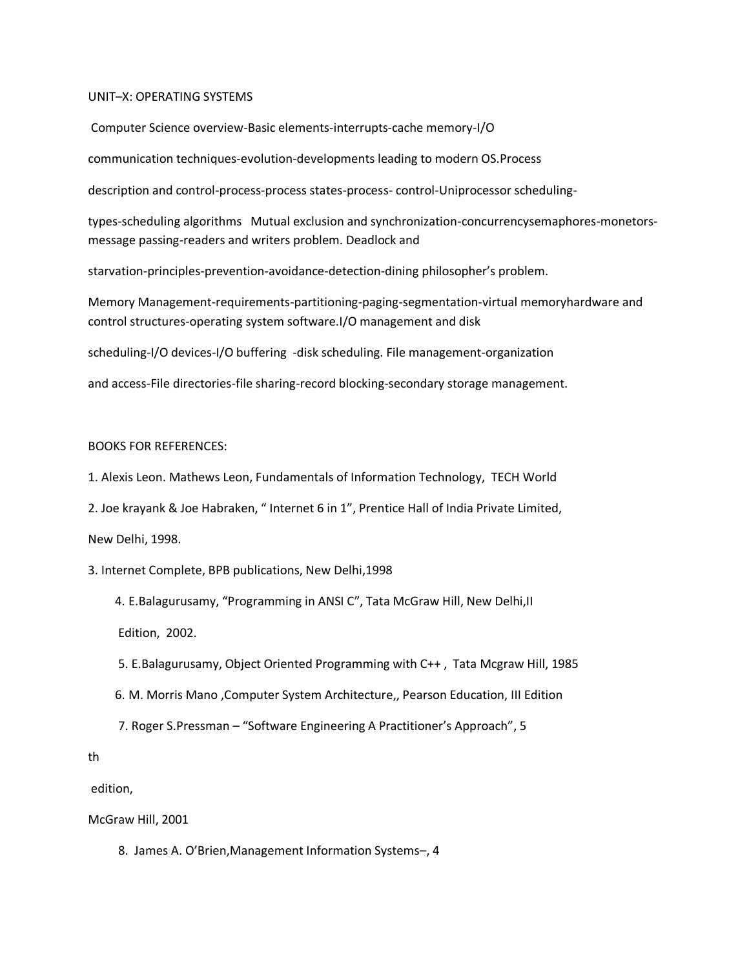### UNIT–X: OPERATING SYSTEMS

Computer Science overview-Basic elements-interrupts-cache memory-I/O

communication techniques-evolution-developments leading to modern OS.Process

description and control-process-process states-process- control-Uniprocessor scheduling-

types-scheduling algorithms Mutual exclusion and synchronization-concurrencysemaphores-monetorsmessage passing-readers and writers problem. Deadlock and

starvation-principles-prevention-avoidance-detection-dining philosopher's problem.

Memory Management-requirements-partitioning-paging-segmentation-virtual memoryhardware and control structures-operating system software.I/O management and disk

scheduling-I/O devices-I/O buffering -disk scheduling. File management-organization

and access-File directories-file sharing-record blocking-secondary storage management.

## BOOKS FOR REFERENCES:

1. Alexis Leon. Mathews Leon, Fundamentals of Information Technology, TECH World

2. Joe krayank & Joe Habraken, " Internet 6 in 1", Prentice Hall of India Private Limited,

New Delhi, 1998.

3. Internet Complete, BPB publications, New Delhi,1998

 4. E.Balagurusamy, "Programming in ANSI C", Tata McGraw Hill, New Delhi,II Edition, 2002.

- 5. E.Balagurusamy, Object Oriented Programming with C++ , Tata Mcgraw Hill, 1985
- 6. M. Morris Mano ,Computer System Architecture,, Pearson Education, III Edition
- 7. Roger S.Pressman "Software Engineering A Practitioner's Approach", 5

th

edition,

McGraw Hill, 2001

8. James A. O'Brien,Management Information Systems–, 4